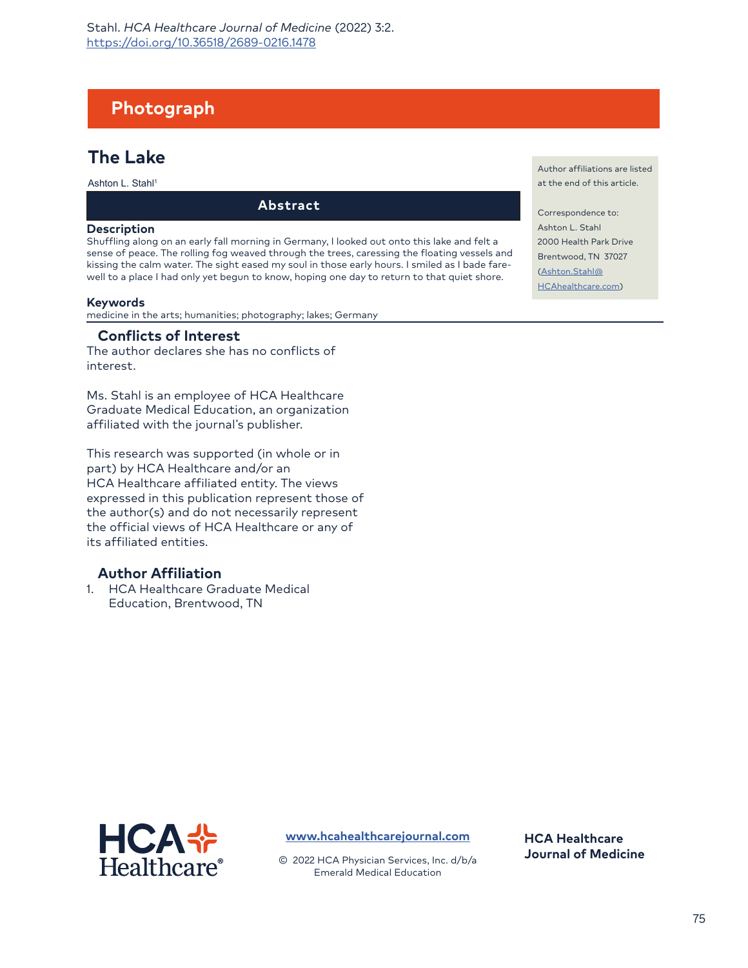# **Photograph**

## **The Lake**

Ashton L. Stahl<sup>1</sup>

**Abstract**

#### **Description**

Shuffling along on an early fall morning in Germany, I looked out onto this lake and felt a sense of peace. The rolling fog weaved through the trees, caressing the floating vessels and kissing the calm water. The sight eased my soul in those early hours. I smiled as I bade farewell to a place I had only yet begun to know, hoping one day to return to that quiet shore.

#### **Keywords**

medicine in the arts; humanities; photography; lakes; Germany

### **Conflicts of Interest**

The author declares she has no conflicts of interest.

Ms. Stahl is an employee of HCA Healthcare Graduate Medical Education, an organization affiliated with the journal's publisher.

This research was supported (in whole or in part) by HCA Healthcare and/or an HCA Healthcare affiliated entity. The views expressed in this publication represent those of the author(s) and do not necessarily represent the official views of HCA Healthcare or any of its affiliated entities.

## **Author Affiliation**

1. HCA Healthcare Graduate Medical Education, Brentwood, TN

Author affiliations are listed at the end of this article.

Correspondence to: Ashton L. Stahl 2000 Health Park Drive [Brentwood, TN](mailto:Ashton.Stahl@HCAhealthcare.com) 37027 [\(Ashton.Stahl@](mailto:Ashton.Stahl@HCAhealthcare.com) HCAhealthcare.com)



**[www.hcahealthcarejournal.com](http://www.hcahealthcarejournal.com)**

© 2022 HCA Physician Services, Inc. d/b/a Emerald Medical Education

**HCA Healthcare Journal of Medicine**